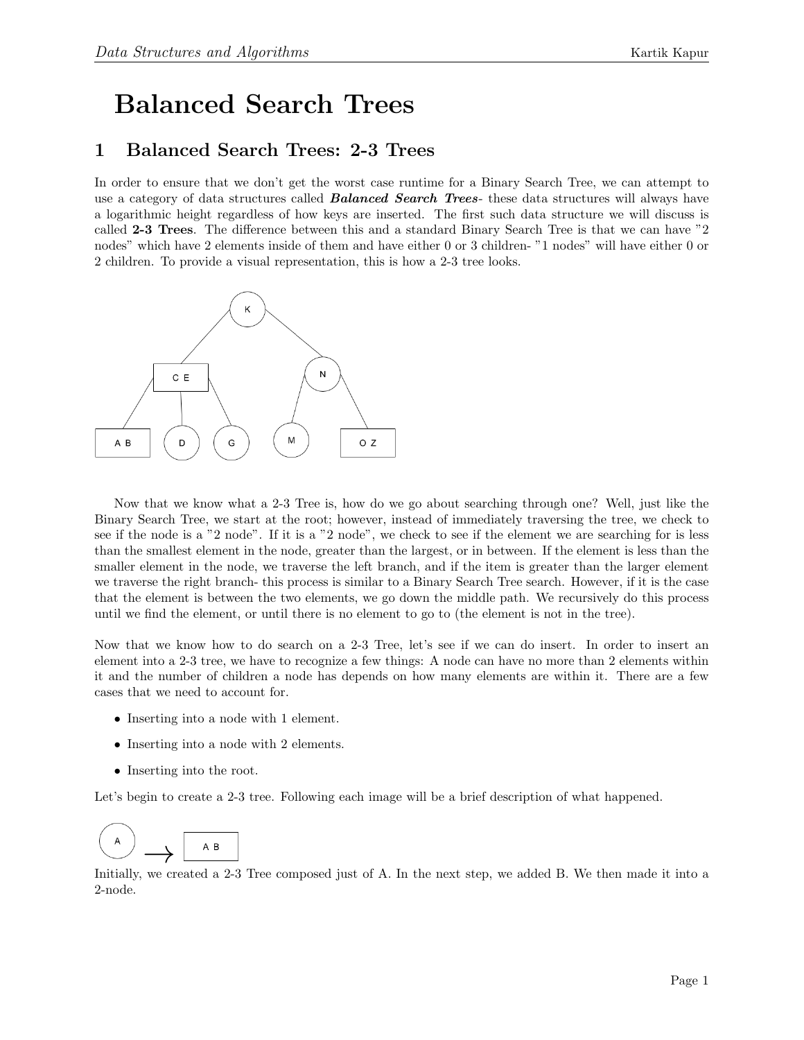## Balanced Search Trees

## 1 Balanced Search Trees: 2-3 Trees

In order to ensure that we don't get the worst case runtime for a Binary Search Tree, we can attempt to use a category of data structures called **Balanced Search Trees**- these data structures will always have a logarithmic height regardless of how keys are inserted. The first such data structure we will discuss is called 2-3 Trees. The difference between this and a standard Binary Search Tree is that we can have "2 nodes" which have 2 elements inside of them and have either 0 or 3 children- "1 nodes" will have either 0 or 2 children. To provide a visual representation, this is how a 2-3 tree looks.



Now that we know what a 2-3 Tree is, how do we go about searching through one? Well, just like the Binary Search Tree, we start at the root; however, instead of immediately traversing the tree, we check to see if the node is a "2 node". If it is a "2 node", we check to see if the element we are searching for is less than the smallest element in the node, greater than the largest, or in between. If the element is less than the smaller element in the node, we traverse the left branch, and if the item is greater than the larger element we traverse the right branch- this process is similar to a Binary Search Tree search. However, if it is the case that the element is between the two elements, we go down the middle path. We recursively do this process until we find the element, or until there is no element to go to (the element is not in the tree).

Now that we know how to do search on a 2-3 Tree, let's see if we can do insert. In order to insert an element into a 2-3 tree, we have to recognize a few things: A node can have no more than 2 elements within it and the number of children a node has depends on how many elements are within it. There are a few cases that we need to account for.

- Inserting into a node with 1 element.
- Inserting into a node with 2 elements.
- Inserting into the root.

Let's begin to create a 2-3 tree. Following each image will be a brief description of what happened.



Initially, we created a 2-3 Tree composed just of A. In the next step, we added B. We then made it into a 2-node.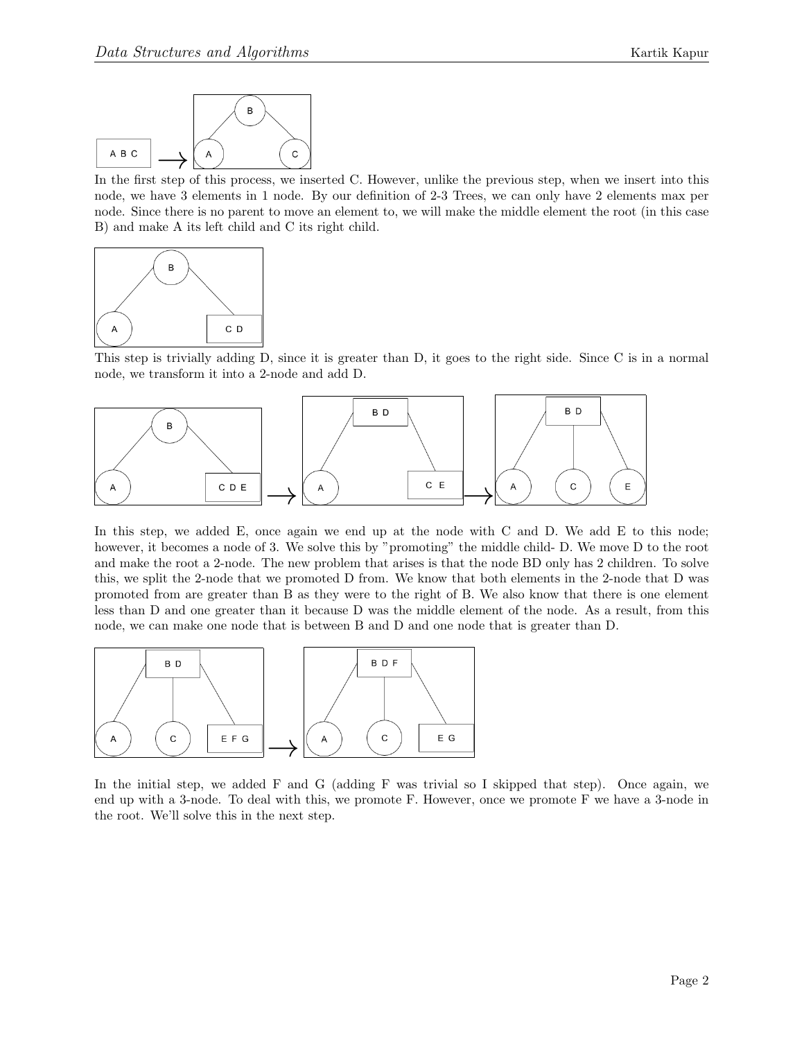

In the first step of this process, we inserted C. However, unlike the previous step, when we insert into this node, we have 3 elements in 1 node. By our definition of 2-3 Trees, we can only have 2 elements max per node. Since there is no parent to move an element to, we will make the middle element the root (in this case B) and make A its left child and C its right child.



This step is trivially adding D, since it is greater than D, it goes to the right side. Since C is in a normal node, we transform it into a 2-node and add D.



In this step, we added E, once again we end up at the node with C and D. We add E to this node; however, it becomes a node of 3. We solve this by "promoting" the middle child- D. We move D to the root and make the root a 2-node. The new problem that arises is that the node BD only has 2 children. To solve this, we split the 2-node that we promoted D from. We know that both elements in the 2-node that D was promoted from are greater than B as they were to the right of B. We also know that there is one element less than D and one greater than it because D was the middle element of the node. As a result, from this node, we can make one node that is between B and D and one node that is greater than D.



In the initial step, we added F and G (adding F was trivial so I skipped that step). Once again, we end up with a 3-node. To deal with this, we promote F. However, once we promote F we have a 3-node in the root. We'll solve this in the next step.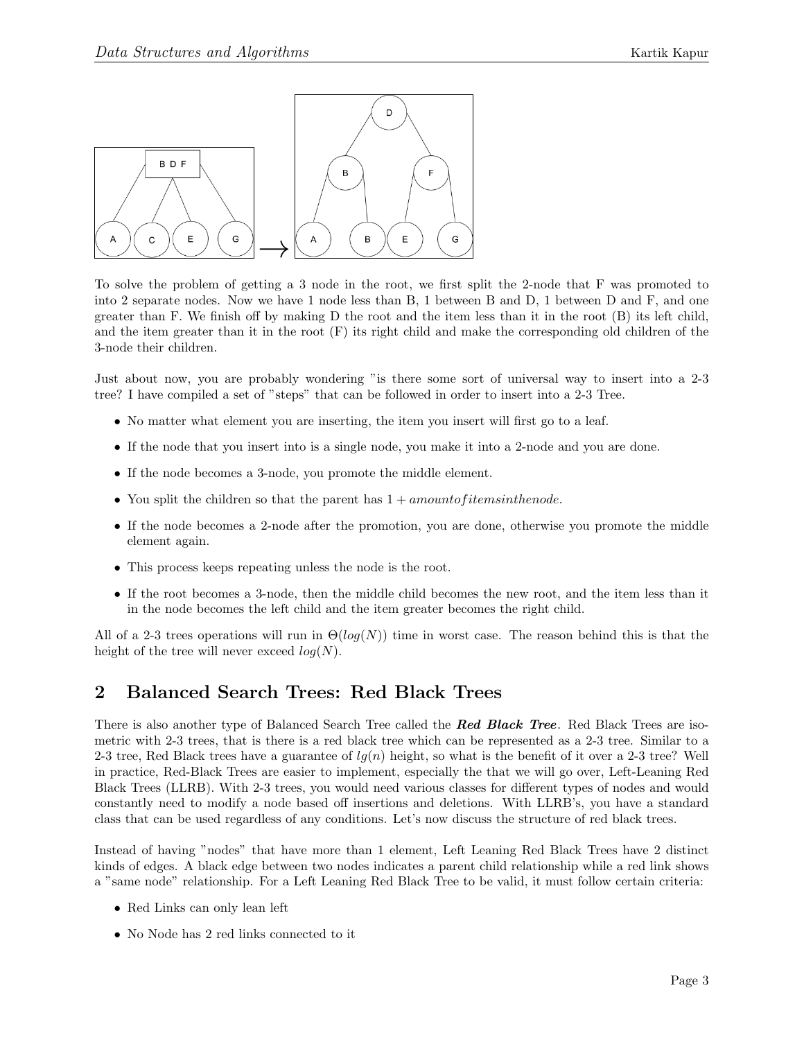

To solve the problem of getting a 3 node in the root, we first split the 2-node that F was promoted to into 2 separate nodes. Now we have 1 node less than B, 1 between B and D, 1 between D and F, and one greater than F. We finish off by making D the root and the item less than it in the root (B) its left child, and the item greater than it in the root (F) its right child and make the corresponding old children of the 3-node their children.

Just about now, you are probably wondering "is there some sort of universal way to insert into a 2-3 tree? I have compiled a set of "steps" that can be followed in order to insert into a 2-3 Tree.

- No matter what element you are inserting, the item you insert will first go to a leaf.
- If the node that you insert into is a single node, you make it into a 2-node and you are done.
- If the node becomes a 3-node, you promote the middle element.
- You split the children so that the parent has  $1 + amount of items in the node$ .
- If the node becomes a 2-node after the promotion, you are done, otherwise you promote the middle element again.
- This process keeps repeating unless the node is the root.
- If the root becomes a 3-node, then the middle child becomes the new root, and the item less than it in the node becomes the left child and the item greater becomes the right child.

All of a 2-3 trees operations will run in  $\Theta(log(N))$  time in worst case. The reason behind this is that the height of the tree will never exceed  $log(N)$ .

## 2 Balanced Search Trees: Red Black Trees

There is also another type of Balanced Search Tree called the **Red Black Tree**. Red Black Trees are isometric with 2-3 trees, that is there is a red black tree which can be represented as a 2-3 tree. Similar to a 2-3 tree, Red Black trees have a guarantee of  $lg(n)$  height, so what is the benefit of it over a 2-3 tree? Well in practice, Red-Black Trees are easier to implement, especially the that we will go over, Left-Leaning Red Black Trees (LLRB). With 2-3 trees, you would need various classes for different types of nodes and would constantly need to modify a node based off insertions and deletions. With LLRB's, you have a standard class that can be used regardless of any conditions. Let's now discuss the structure of red black trees.

Instead of having "nodes" that have more than 1 element, Left Leaning Red Black Trees have 2 distinct kinds of edges. A black edge between two nodes indicates a parent child relationship while a red link shows a "same node" relationship. For a Left Leaning Red Black Tree to be valid, it must follow certain criteria:

- Red Links can only lean left
- No Node has 2 red links connected to it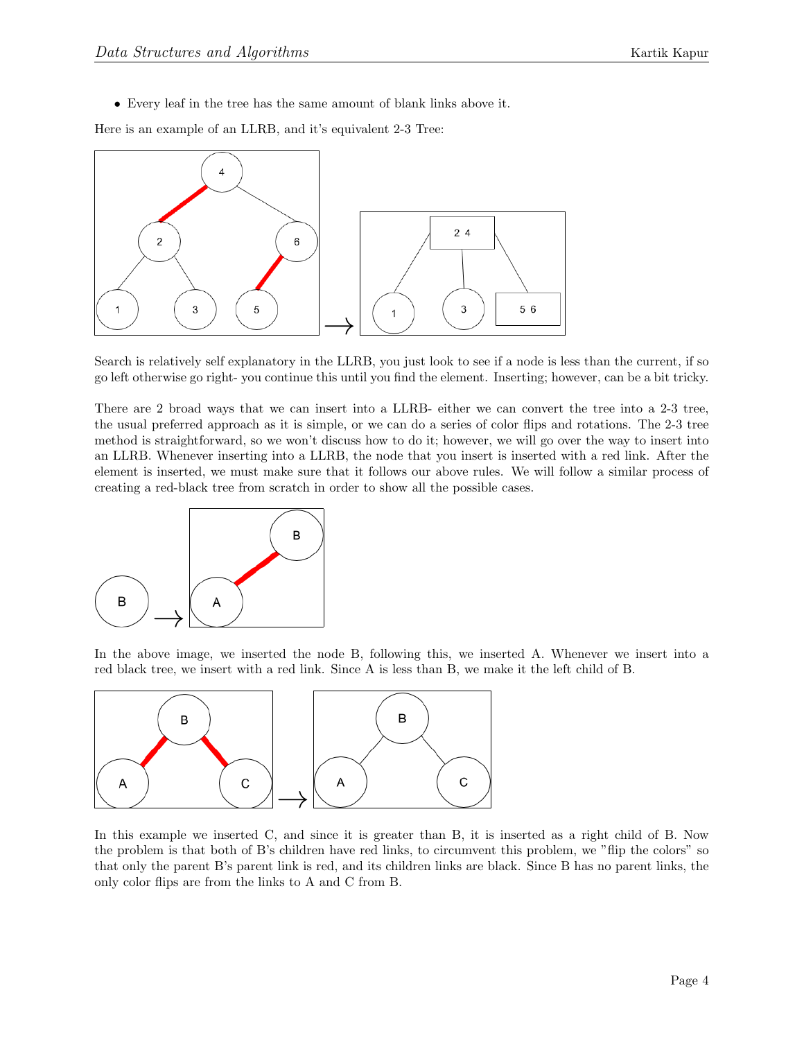• Every leaf in the tree has the same amount of blank links above it.

Here is an example of an LLRB, and it's equivalent 2-3 Tree:



Search is relatively self explanatory in the LLRB, you just look to see if a node is less than the current, if so go left otherwise go right- you continue this until you find the element. Inserting; however, can be a bit tricky.

There are 2 broad ways that we can insert into a LLRB- either we can convert the tree into a 2-3 tree, the usual preferred approach as it is simple, or we can do a series of color flips and rotations. The 2-3 tree method is straightforward, so we won't discuss how to do it; however, we will go over the way to insert into an LLRB. Whenever inserting into a LLRB, the node that you insert is inserted with a red link. After the element is inserted, we must make sure that it follows our above rules. We will follow a similar process of creating a red-black tree from scratch in order to show all the possible cases.



In the above image, we inserted the node B, following this, we inserted A. Whenever we insert into a red black tree, we insert with a red link. Since A is less than B, we make it the left child of B.



In this example we inserted C, and since it is greater than B, it is inserted as a right child of B. Now the problem is that both of B's children have red links, to circumvent this problem, we "flip the colors" so that only the parent B's parent link is red, and its children links are black. Since B has no parent links, the only color flips are from the links to A and C from B.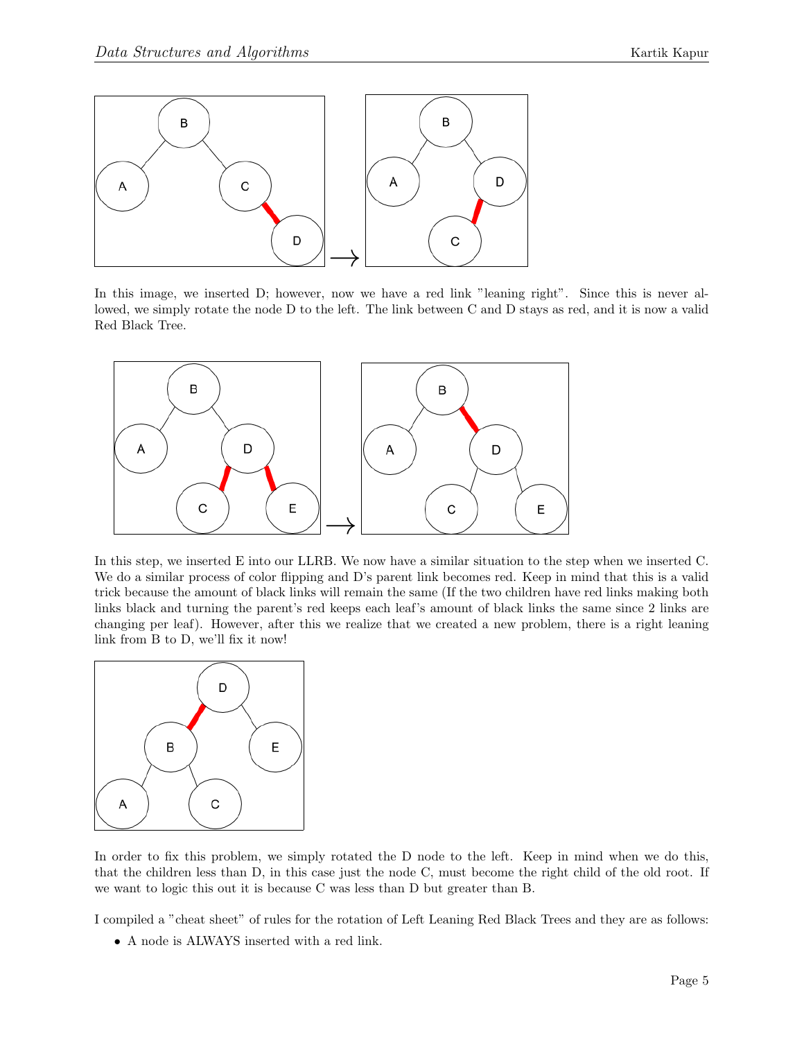

In this image, we inserted D; however, now we have a red link "leaning right". Since this is never allowed, we simply rotate the node D to the left. The link between C and D stays as red, and it is now a valid Red Black Tree.



In this step, we inserted E into our LLRB. We now have a similar situation to the step when we inserted C. We do a similar process of color flipping and D's parent link becomes red. Keep in mind that this is a valid trick because the amount of black links will remain the same (If the two children have red links making both links black and turning the parent's red keeps each leaf's amount of black links the same since 2 links are changing per leaf). However, after this we realize that we created a new problem, there is a right leaning link from B to D, we'll fix it now!



In order to fix this problem, we simply rotated the D node to the left. Keep in mind when we do this, that the children less than D, in this case just the node C, must become the right child of the old root. If we want to logic this out it is because C was less than D but greater than B.

I compiled a "cheat sheet" of rules for the rotation of Left Leaning Red Black Trees and they are as follows:

• A node is ALWAYS inserted with a red link.